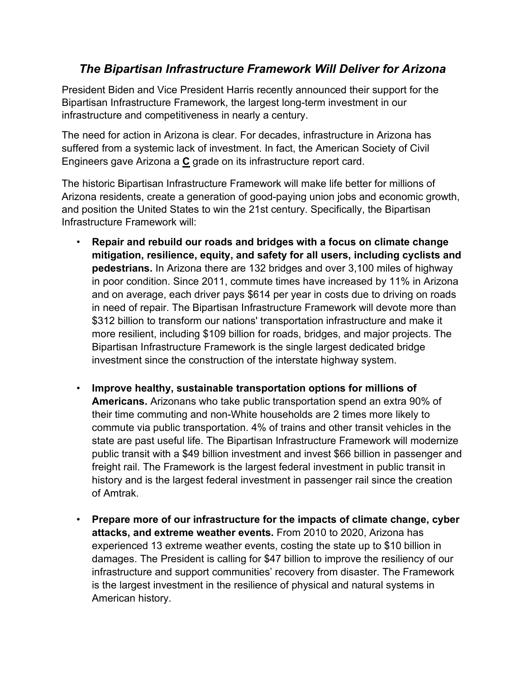## *The Bipartisan Infrastructure Framework Will Deliver for Arizona*

President Biden and Vice President Harris recently announced their support for the Bipartisan Infrastructure Framework, the largest long-term investment in our infrastructure and competitiveness in nearly a century.

The need for action in Arizona is clear. For decades, infrastructure in Arizona has suffered from a systemic lack of investment. In fact, the American Society of Civil Engineers gave Arizona a **C** grade on its infrastructure report card.

The historic Bipartisan Infrastructure Framework will make life better for millions of Arizona residents, create a generation of good-paying union jobs and economic growth, and position the United States to win the 21st century. Specifically, the Bipartisan Infrastructure Framework will:

- **Repair and rebuild our roads and bridges with a focus on climate change mitigation, resilience, equity, and safety for all users, including cyclists and pedestrians.** In Arizona there are 132 bridges and over 3,100 miles of highway in poor condition. Since 2011, commute times have increased by 11% in Arizona and on average, each driver pays \$614 per year in costs due to driving on roads in need of repair. The Bipartisan Infrastructure Framework will devote more than \$312 billion to transform our nations' transportation infrastructure and make it more resilient, including \$109 billion for roads, bridges, and major projects. The Bipartisan Infrastructure Framework is the single largest dedicated bridge investment since the construction of the interstate highway system.
- **Improve healthy, sustainable transportation options for millions of Americans.** Arizonans who take public transportation spend an extra 90% of their time commuting and non-White households are 2 times more likely to commute via public transportation. 4% of trains and other transit vehicles in the state are past useful life. The Bipartisan Infrastructure Framework will modernize public transit with a \$49 billion investment and invest \$66 billion in passenger and freight rail. The Framework is the largest federal investment in public transit in history and is the largest federal investment in passenger rail since the creation of Amtrak.
- **Prepare more of our infrastructure for the impacts of climate change, cyber attacks, and extreme weather events.** From 2010 to 2020, Arizona has experienced 13 extreme weather events, costing the state up to \$10 billion in damages. The President is calling for \$47 billion to improve the resiliency of our infrastructure and support communities' recovery from disaster. The Framework is the largest investment in the resilience of physical and natural systems in American history.